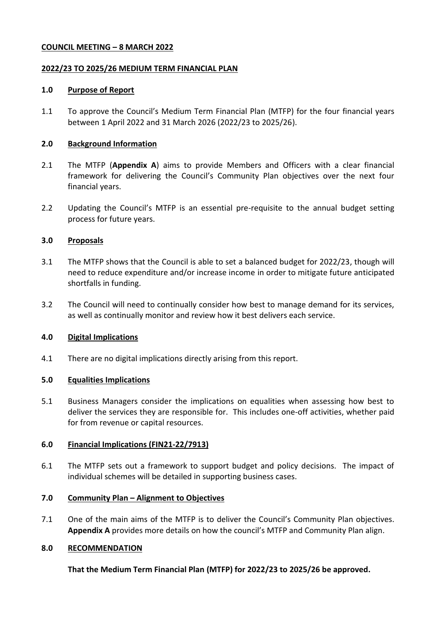## **COUNCIL MEETING – 8 MARCH 2022**

### **2022/23 TO 2025/26 MEDIUM TERM FINANCIAL PLAN**

### **1.0 Purpose of Report**

1.1 To approve the Council's Medium Term Financial Plan (MTFP) for the four financial years between 1 April 2022 and 31 March 2026 (2022/23 to 2025/26).

## **2.0 Background Information**

- 2.1 The MTFP (**Appendix A**) aims to provide Members and Officers with a clear financial framework for delivering the Council's Community Plan objectives over the next four financial years.
- 2.2 Updating the Council's MTFP is an essential pre-requisite to the annual budget setting process for future years.

### **3.0 Proposals**

- 3.1 The MTFP shows that the Council is able to set a balanced budget for 2022/23, though will need to reduce expenditure and/or increase income in order to mitigate future anticipated shortfalls in funding.
- 3.2 The Council will need to continually consider how best to manage demand for its services, as well as continually monitor and review how it best delivers each service.

# **4.0 Digital Implications**

4.1 There are no digital implications directly arising from this report.

#### **5.0 Equalities Implications**

5.1 Business Managers consider the implications on equalities when assessing how best to deliver the services they are responsible for. This includes one-off activities, whether paid for from revenue or capital resources.

# **6.0 Financial Implications (FIN21-22/7913)**

6.1 The MTFP sets out a framework to support budget and policy decisions. The impact of individual schemes will be detailed in supporting business cases.

#### **7.0 Community Plan – Alignment to Objectives**

7.1 One of the main aims of the MTFP is to deliver the Council's Community Plan objectives. **Appendix A** provides more details on how the council's MTFP and Community Plan align.

#### **8.0 RECOMMENDATION**

**That the Medium Term Financial Plan (MTFP) for 2022/23 to 2025/26 be approved.**